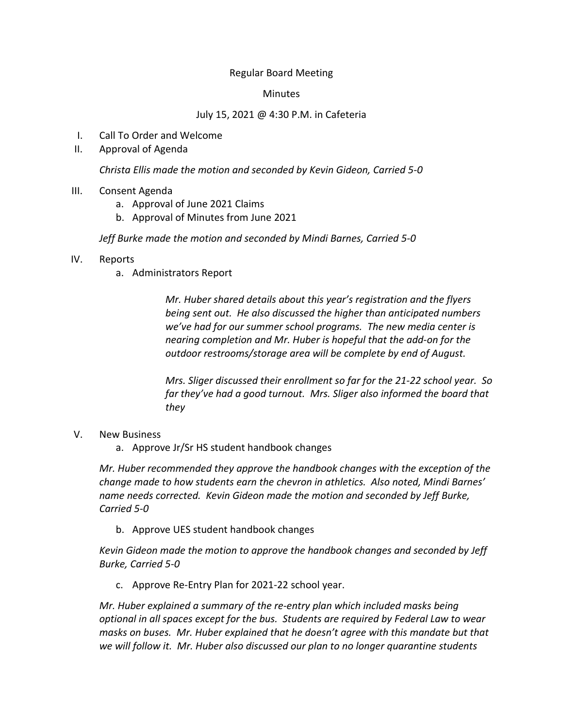## Regular Board Meeting

## Minutes

## July 15, 2021 @ 4:30 P.M. in Cafeteria

- I. Call To Order and Welcome
- II. Approval of Agenda

*Christa Ellis made the motion and seconded by Kevin Gideon, Carried 5-0*

- III. Consent Agenda
	- a. Approval of June 2021 Claims
	- b. Approval of Minutes from June 2021

*Jeff Burke made the motion and seconded by Mindi Barnes, Carried 5-0*

- IV. Reports
	- a. Administrators Report

*Mr. Huber shared details about this year's registration and the flyers being sent out. He also discussed the higher than anticipated numbers we've had for our summer school programs. The new media center is nearing completion and Mr. Huber is hopeful that the add-on for the outdoor restrooms/storage area will be complete by end of August.*

*Mrs. Sliger discussed their enrollment so far for the 21-22 school year. So far they've had a good turnout. Mrs. Sliger also informed the board that they* 

- V. New Business
	- a. Approve Jr/Sr HS student handbook changes

*Mr. Huber recommended they approve the handbook changes with the exception of the change made to how students earn the chevron in athletics. Also noted, Mindi Barnes' name needs corrected. Kevin Gideon made the motion and seconded by Jeff Burke, Carried 5-0*

b. Approve UES student handbook changes

*Kevin Gideon made the motion to approve the handbook changes and seconded by Jeff Burke, Carried 5-0*

c. Approve Re-Entry Plan for 2021-22 school year.

*Mr. Huber explained a summary of the re-entry plan which included masks being optional in all spaces except for the bus. Students are required by Federal Law to wear masks on buses. Mr. Huber explained that he doesn't agree with this mandate but that we will follow it. Mr. Huber also discussed our plan to no longer quarantine students*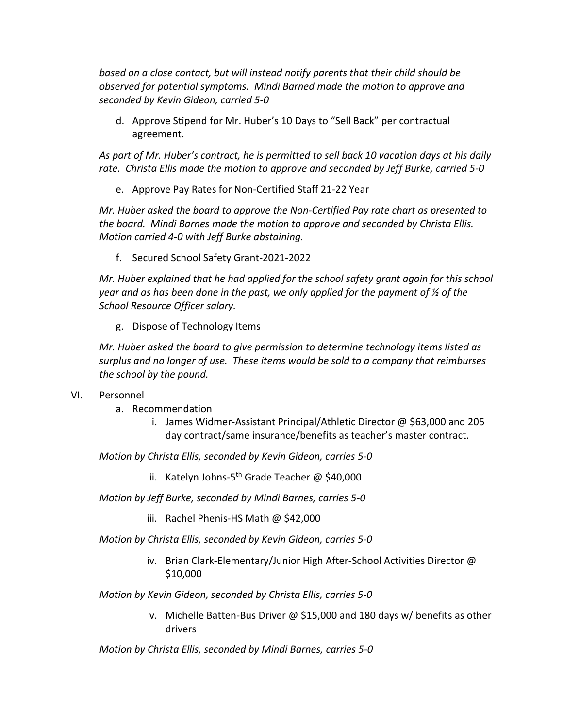*based on a close contact, but will instead notify parents that their child should be observed for potential symptoms. Mindi Barned made the motion to approve and seconded by Kevin Gideon, carried 5-0*

d. Approve Stipend for Mr. Huber's 10 Days to "Sell Back" per contractual agreement.

*As part of Mr. Huber's contract, he is permitted to sell back 10 vacation days at his daily rate. Christa Ellis made the motion to approve and seconded by Jeff Burke, carried 5-0*

e. Approve Pay Rates for Non-Certified Staff 21-22 Year

*Mr. Huber asked the board to approve the Non-Certified Pay rate chart as presented to the board. Mindi Barnes made the motion to approve and seconded by Christa Ellis. Motion carried 4-0 with Jeff Burke abstaining.*

f. Secured School Safety Grant-2021-2022

*Mr. Huber explained that he had applied for the school safety grant again for this school year and as has been done in the past, we only applied for the payment of ½ of the School Resource Officer salary.*

g. Dispose of Technology Items

*Mr. Huber asked the board to give permission to determine technology items listed as surplus and no longer of use. These items would be sold to a company that reimburses the school by the pound.*

- VI. Personnel
	- a. Recommendation
		- i. James Widmer-Assistant Principal/Athletic Director @ \$63,000 and 205 day contract/same insurance/benefits as teacher's master contract.

*Motion by Christa Ellis, seconded by Kevin Gideon, carries 5-0*

- ii. Katelyn Johns-5<sup>th</sup> Grade Teacher @ \$40,000
- *Motion by Jeff Burke, seconded by Mindi Barnes, carries 5-0*
	- iii. Rachel Phenis-HS Math @ \$42,000

*Motion by Christa Ellis, seconded by Kevin Gideon, carries 5-0*

iv. Brian Clark-Elementary/Junior High After-School Activities Director @ \$10,000

*Motion by Kevin Gideon, seconded by Christa Ellis, carries 5-0*

v. Michelle Batten-Bus Driver @ \$15,000 and 180 days w/ benefits as other drivers

*Motion by Christa Ellis, seconded by Mindi Barnes, carries 5-0*